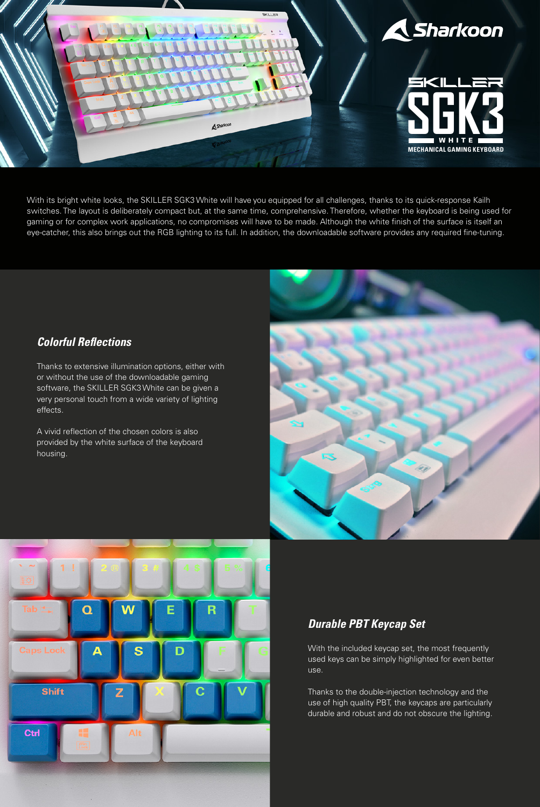

With its bright white looks, the SKILLER SGK3 White will have you equipped for all challenges, thanks to its quick-response Kailh switches. The layout is deliberately compact but, at the same time, comprehensive. Therefore, whether the keyboard is being used for gaming or for complex work applications, no compromises will have to be made. Although the white finish of the surface is itself an eye-catcher, this also brings out the RGB lighting to its full. In addition, the downloadable software provides any required fine-tuning.

## *Colorful Reflections*

Thanks to extensive illumination options, either with or without the use of the downloadable gaming software, the SKILLER SGK3 White can be given a very personal touch from a wide variety of lighting effects.

A vivid reflection of the chosen colors is also provided by the white surface of the keyboard housing.





# *Durable PBT Keycap Set*

With the included keycap set, the most frequently used keys can be simply highlighted for even better use.

Thanks to the double-injection technology and the use of high quality PBT, the keycaps are particularly durable and robust and do not obscure the lighting.